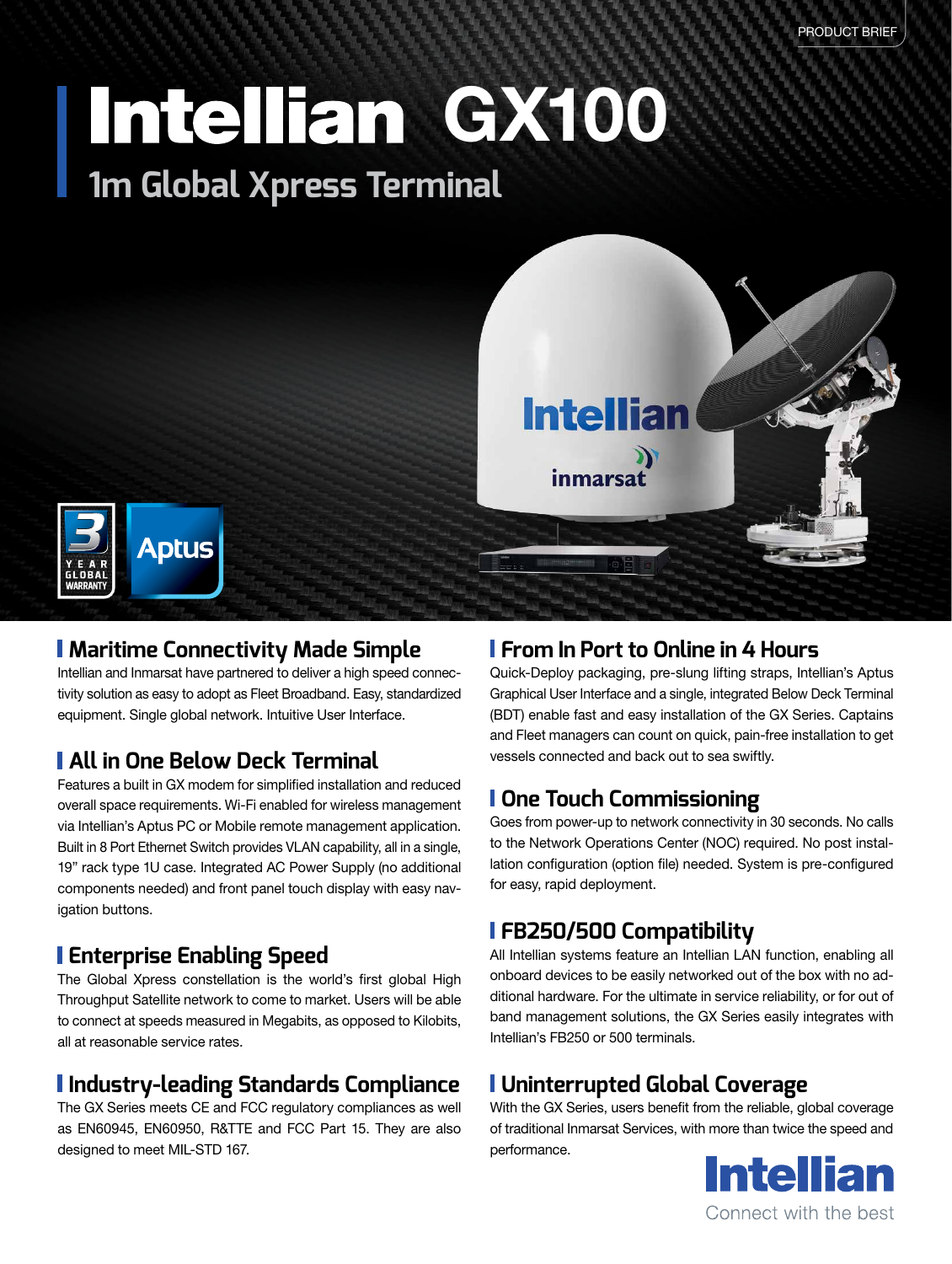# **1m Global Xpress Terminal Intellian GX100**



#### **Maritime Connectivity Made Simple**

Intellian and Inmarsat have partnered to deliver a high speed connectivity solution as easy to adopt as Fleet Broadband. Easy, standardized equipment. Single global network. Intuitive User Interface.

#### **All in One Below Deck Terminal**

Features a built in GX modem for simplified installation and reduced overall space requirements. Wi-Fi enabled for wireless management via Intellian's Aptus PC or Mobile remote management application. Built in 8 Port Ethernet Switch provides VLAN capability, all in a single, 19" rack type 1U case. Integrated AC Power Supply (no additional components needed) and front panel touch display with easy navigation buttons.

#### **Enterprise Enabling Speed**

The Global Xpress constellation is the world's first global High Throughput Satellite network to come to market. Users will be able to connect at speeds measured in Megabits, as opposed to Kilobits, all at reasonable service rates.

## **Industry-leading Standards Compliance**

The GX Series meets CE and FCC regulatory compliances as well as EN60945, EN60950, R&TTE and FCC Part 15. They are also designed to meet MIL-STD 167.

## **From In Port to Online in 4 Hours**

Quick-Deploy packaging, pre-slung lifting straps, Intellian's Aptus Graphical User Interface and a single, integrated Below Deck Terminal (BDT) enable fast and easy installation of the GX Series. Captains and Fleet managers can count on quick, pain-free installation to get vessels connected and back out to sea swiftly.

#### **One Touch Commissioning**

Goes from power-up to network connectivity in 30 seconds. No calls to the Network Operations Center (NOC) required. No post installation configuration (option file) needed. System is pre-configured for easy, rapid deployment.

## **FB250/500 Compatibility**

All Intellian systems feature an Intellian LAN function, enabling all onboard devices to be easily networked out of the box with no additional hardware. For the ultimate in service reliability, or for out of band management solutions, the GX Series easily integrates with Intellian's FB250 or 500 terminals.

## **Uninterrupted Global Coverage**

With the GX Series, users benefit from the reliable, global coverage of traditional Inmarsat Services, with more than twice the speed and performance.